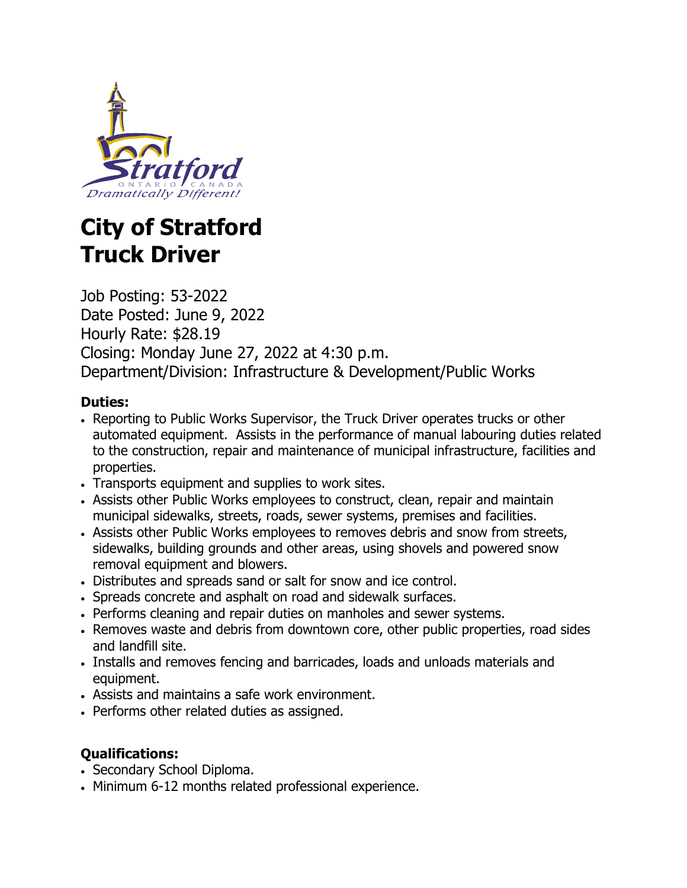

# **City of Stratford Truck Driver**

Job Posting: 53-2022 Date Posted: June 9, 2022 Hourly Rate: \$28.19 Closing: Monday June 27, 2022 at 4:30 p.m. Department/Division: Infrastructure & Development/Public Works

### **Duties:**

- Reporting to Public Works Supervisor, the Truck Driver operates trucks or other automated equipment. Assists in the performance of manual labouring duties related to the construction, repair and maintenance of municipal infrastructure, facilities and properties.
- Transports equipment and supplies to work sites.
- Assists other Public Works employees to construct, clean, repair and maintain municipal sidewalks, streets, roads, sewer systems, premises and facilities.
- Assists other Public Works employees to removes debris and snow from streets, sidewalks, building grounds and other areas, using shovels and powered snow removal equipment and blowers.
- Distributes and spreads sand or salt for snow and ice control.
- Spreads concrete and asphalt on road and sidewalk surfaces.
- Performs cleaning and repair duties on manholes and sewer systems.
- Removes waste and debris from downtown core, other public properties, road sides and landfill site.
- Installs and removes fencing and barricades, loads and unloads materials and equipment.
- Assists and maintains a safe work environment.
- Performs other related duties as assigned.

## **Qualifications:**

- Secondary School Diploma.
- Minimum 6-12 months related professional experience.